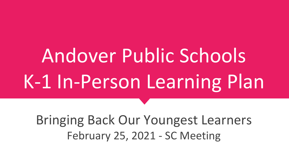# Andover Public Schools K-1 In-Person Learning Plan

Bringing Back Our Youngest Learners February 25, 2021 - SC Meeting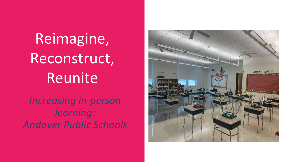Reimagine, Reconstruct, Reunite

*Increasing in-person learning: Andover Public Schools*

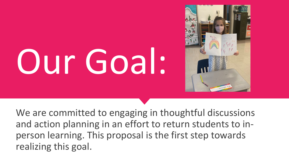# Our Goal:



We are committed to engaging in thoughtful discussions and action planning in an effort to return students to inperson learning. This proposal is the first step towards realizing this goal.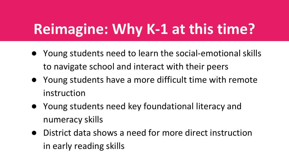## **Reimagine: Why K-1 at this time?**

- Young students need to learn the social-emotional skills to navigate school and interact with their peers
- Young students have a more difficult time with remote instruction
- Young students need key foundational literacy and numeracy skills
- District data shows a need for more direct instruction in early reading skills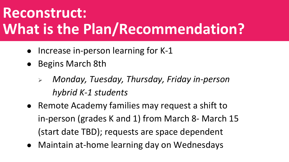### **Reconstruct: What is the Plan/Recommendation?**

- Increase in-person learning for K-1
- Begins March 8th
	- *Monday, Tuesday, Thursday, Friday in-person hybrid K-1 students*
- Remote Academy families may request a shift to in-person (grades K and 1) from March 8- March 15 (start date TBD); requests are space dependent
- Maintain at-home learning day on Wednesdays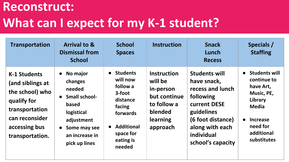#### **Reconstruct: What can I expect for my K-1 student?**

| Transportation                                                                                                                                    | <b>Arrival to &amp;</b><br><b>Dismissal from</b><br><b>School</b>                                                                                                  | <b>School</b><br><b>Spaces</b>                                                                                                          | <b>Instruction</b>                                                                                           | <b>Snack</b><br>Lunch<br><b>Recess</b>                                                                                                                                        | Specials /<br><b>Staffing</b>                                                                                                                                                   |
|---------------------------------------------------------------------------------------------------------------------------------------------------|--------------------------------------------------------------------------------------------------------------------------------------------------------------------|-----------------------------------------------------------------------------------------------------------------------------------------|--------------------------------------------------------------------------------------------------------------|-------------------------------------------------------------------------------------------------------------------------------------------------------------------------------|---------------------------------------------------------------------------------------------------------------------------------------------------------------------------------|
| <b>K-1 Students</b><br>(and siblings at<br>the school) who<br>qualify for<br>transportation<br>can reconsider<br>accessing bus<br>transportation. | No major<br>$\bullet$<br>changes<br>needed<br>• Small school-<br>based<br>logistical<br>adjustment<br>Some may see<br>$\bullet$<br>an increase in<br>pick up lines | • Students<br>will now<br>follow a<br>3-foot<br>distance<br>facing<br>forwards<br><b>Additional</b><br>space for<br>eating is<br>needed | <b>Instruction</b><br>will be<br>in-person<br>but continue<br>to follow a<br>blended<br>learning<br>approach | <b>Students will</b><br>have snack,<br>recess and lunch<br>following<br>current DESE<br>guidelines<br>(6 foot distance)<br>along with each<br>individual<br>school's capacity | <b>Students will</b><br>$\bullet$<br>continue to<br>have Art,<br>Music, PE,<br>Library<br><b>Media</b><br><b>Increase</b><br>$\bullet$<br>need for<br>additional<br>substitutes |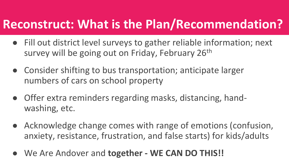#### **Reconstruct: What is the Plan/Recommendation?**

- Fill out district level surveys to gather reliable information; next survey will be going out on Friday, February 26<sup>th</sup>
- Consider shifting to bus transportation; anticipate larger numbers of cars on school property
- Offer extra reminders regarding masks, distancing, handwashing, etc.
- Acknowledge change comes with range of emotions (confusion, anxiety, resistance, frustration, and false starts) for kids/adults
- We Are Andover and **together - WE CAN DO THIS!!**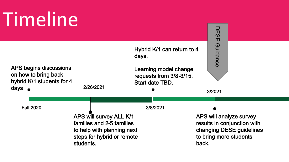# Timeline

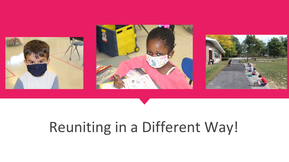





## Reuniting in a Different Way!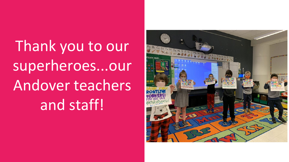Thank you to our superheroes...our Andover teachers and staff!